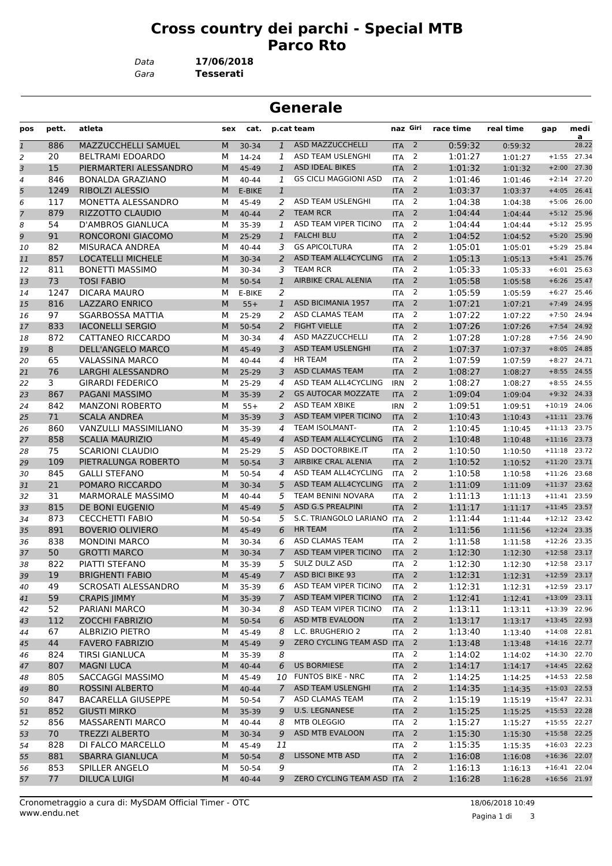## **Cross country dei parchi - Special MTB Parco Rto**

*Gara* **Tesserati** *Data* **17/06/2018**

| <b>Generale</b>           |       |                           |     |        |                |                              |                  |                |           |           |                |               |
|---------------------------|-------|---------------------------|-----|--------|----------------|------------------------------|------------------|----------------|-----------|-----------|----------------|---------------|
| pos                       | pett. | atleta                    | sex | cat.   |                | p.cat team                   | naz Giri         |                | race time | real time | gap            | medi<br>a     |
| $\overline{\mathfrak{1}}$ | 886   | MAZZUCCHELLI SAMUEL       | M   | 30-34  | $\mathbf{1}$   | ASD MAZZUCCHELLI             | <b>ITA</b>       | $\overline{2}$ | 0:59:32   | 0:59:32   |                | 28.22         |
| 2                         | 20    | <b>BELTRAMI EDOARDO</b>   | М   | 14-24  | 1              | ASD TEAM USLENGHI            | <b>ITA</b>       | 2              | 1:01:27   | 1:01:27   | $+1:55$        | 27.34         |
| З                         | 15    | PIERMARTERI ALESSANDRO    | M   | 45-49  | $\mathbf{1}$   | <b>ASD IDEAL BIKES</b>       | <b>ITA</b>       | 2              | 1:01:32   | 1:01:32   | $+2:00$        | 27.30         |
| 4                         | 846   | <b>BONALDA GRAZIANO</b>   | м   | 40-44  | 1              | <b>GS CICLI MAGGIONI ASD</b> | <b>ITA</b>       | 2              | 1:01:46   | 1:01:46   | $+2:14$        | 27.20         |
| 5                         | 1249  | <b>RIBOLZI ALESSIO</b>    | M   | E-BIKE | $\mathbf{1}$   |                              | <b>ITA</b>       | $\overline{2}$ | 1:03:37   | 1:03:37   | $+4:05$        | 26.41         |
| 6                         | 117   | MONETTA ALESSANDRO        | м   | 45-49  | 2              | ASD TEAM USLENGHI            | <b>ITA</b>       | 2              | 1:04:38   | 1:04:38   | $+5:06$        | 26.00         |
| 7                         | 879   | RIZZOTTO CLAUDIO          | M   | 40-44  | 2              | <b>TEAM RCR</b>              | <b>ITA</b>       | 2              | 1:04:44   | 1:04:44   |                | $+5:12$ 25.96 |
| 8                         | 54    | D'AMBROS GIANLUCA         | М   | 35-39  | 1              | ASD TEAM VIPER TICINO        | <b>ITA</b>       | 2              | 1:04:44   | 1:04:44   | $+5:12$        | 25.95         |
| 9                         | 91    | RONCORONI GIACOMO         | M   | 25-29  | $\mathbf{1}$   | <b>FALCHI BLU</b>            | <b>ITA</b>       | 2              | 1:04:52   | 1:04:52   | $+5:20$        | 25.90         |
| 10                        | 82    | MISURACA ANDREA           | М   | 40-44  | 3              | <b>GS APICOLTURA</b>         | <b>ITA</b>       | 2              | 1:05:01   | 1:05:01   | $+5:29$        | 25.84         |
| 11                        | 857   | <b>LOCATELLI MICHELE</b>  | M   | 30-34  | $\overline{2}$ | ASD TEAM ALL4CYCLING         | <b>ITA</b>       | $\overline{2}$ | 1:05:13   | 1:05:13   |                | $+5:41$ 25.76 |
| 12                        | 811   | <b>BONETTI MASSIMO</b>    | М   | 30-34  | 3              | <b>TEAM RCR</b>              | <b>ITA</b>       | $\overline{2}$ | 1:05:33   | 1:05:33   | $+6:01$        | 25.63         |
| 13                        | 73    | <b>TOSI FABIO</b>         | M   | 50-54  | $\mathbf{1}$   | AIRBIKE CRAL ALENIA          | <b>ITA</b>       | 2              | 1:05:58   | 1:05:58   | $+6:26$        | 25.47         |
| 14                        | 1247  | DICARA MAURO              | м   | E-BIKE | 2              |                              | <b>ITA</b>       | 2              | 1:05:59   | 1:05:59   | $+6:27$        | 25.46         |
| 15                        | 816   | <b>LAZZARO ENRICO</b>     | M   | $55+$  | $\mathbf{1}$   | <b>ASD BICIMANIA 1957</b>    | <b>ITA</b>       | 2              | 1:07:21   | 1:07:21   | $+7:49$        | 24.95         |
| 16                        | 97    | <b>SGARBOSSA MATTIA</b>   | М   | 25-29  | 2              | <b>ASD CLAMAS TEAM</b>       | <b>ITA</b>       | 2              | 1:07:22   | 1:07:22   | $+7:50$        | 24.94         |
| 17                        | 833   | <b>IACONELLI SERGIO</b>   | M   | 50-54  | $\overline{2}$ | <b>FIGHT VIELLE</b>          | <b>ITA</b>       | $\overline{2}$ | 1:07:26   | 1:07:26   | $+7:54$        | 24.92         |
| 18                        | 872   | CATTANEO RICCARDO         | М   | 30-34  | 4              | ASD MAZZUCCHELLI             | <b>ITA</b>       | $\overline{2}$ | 1:07:28   | 1:07:28   | $+7:56$        | 24.90         |
| 19                        | 8     | <b>DELL'ANGELO MARCO</b>  | M   | 45-49  | 3              | ASD TEAM USLENGHI            | <b>ITA</b>       | 2              | 1:07:37   | 1:07:37   | $+8:05$        | 24.85         |
| 20                        | 65    | <b>VALASSINA MARCO</b>    | М   | 40-44  | 4              | <b>HR TEAM</b>               | <b>ITA</b>       | 2              | 1:07:59   | 1:07:59   | $+8:27$        | 24.71         |
| 21                        | 76    | LARGHI ALESSANDRO         | M   | 25-29  | 3              | <b>ASD CLAMAS TEAM</b>       | <b>ITA</b>       | 2              | 1:08:27   | 1:08:27   | $+8:55$        | 24.55         |
| 22                        | 3     | <b>GIRARDI FEDERICO</b>   | М   | 25-29  | 4              | ASD TEAM ALL4CYCLING         | <b>IRN</b>       | 2              | 1:08:27   | 1:08:27   | $+8:55$        | 24.55         |
| 23                        | 867   | PAGANI MASSIMO            | M   | 35-39  | 2              | <b>GS AUTOCAR MOZZATE</b>    | <b>ITA</b>       | $\overline{2}$ | 1:09:04   | 1:09:04   |                | $+9:32$ 24.33 |
| 24                        | 842   | <b>MANZONI ROBERTO</b>    | М   | $55+$  | 2              | <b>ASD TEAM XBIKE</b>        | <b>IRN</b>       | $\overline{2}$ | 1:09:51   | 1:09:51   | $+10:19$       | 24.06         |
| 25                        | 71    | <b>SCALA ANDREA</b>       | M   | 35-39  | 3              | ASD TEAM VIPER TICINO        | <b>ITA</b>       | 2              | 1:10:43   | 1:10:43   | $+11:11$ 23.76 |               |
| 26                        | 860   | VANZULLI MASSIMILIANO     | М   | 35-39  | 4              | <b>TEAM ISOLMANT-</b>        | <b>ITA</b>       | 2              | 1:10:45   | 1:10:45   | $+11:13$ 23.75 |               |
| 27                        | 858   | <b>SCALIA MAURIZIO</b>    | M   | 45-49  | 4              | ASD TEAM ALL4CYCLING         | <b>ITA</b>       | 2              | 1:10:48   | 1:10:48   | $+11:16$ 23.73 |               |
| 28                        | 75    | <b>SCARIONI CLAUDIO</b>   | М   | 25-29  | 5              | ASD DOCTORBIKE.IT            | <b>ITA</b>       | 2              | 1:10:50   | 1:10:50   | $+11:18$       | 23.72         |
| 29                        | 109   | PIETRALUNGA ROBERTO       | M   | 50-54  | 3              | AIRBIKE CRAL ALENIA          | <b>ITA</b>       | $\overline{2}$ | 1:10:52   | 1:10:52   | $+11:20$ 23.71 |               |
| 30                        | 845   | <b>GALLI STEFANO</b>      | М   | 50-54  | 4              | ASD TEAM ALL4CYCLING         | <b>ITA</b>       | 2              | 1:10:58   | 1:10:58   | $+11:26$       | 23.68         |
| 31                        | 21    | POMARO RICCARDO           | M   | 30-34  | 5              | ASD TEAM ALL4CYCLING         | <b>ITA</b>       | 2              | 1:11:09   | 1:11:09   | $+11:37$       | 23.62         |
| 32                        | 31    | <b>MARMORALE MASSIMO</b>  | М   | 40-44  | 5              | TEAM BENINI NOVARA           | <b>ITA</b>       | 2              | 1:11:13   | 1:11:13   | $+11:41$ 23.59 |               |
| 33                        | 815   | DE BONI EUGENIO           | M   | 45-49  | 5              | ASD G.S PREALPINI            | <b>ITA</b>       | 2              | 1:11:17   | 1:11:17   | $+11:45$       | 23.57         |
| 34                        | 873   | <b>CECCHETTI FABIO</b>    | М   | 50-54  | 5              | S.C. TRIANGOLO LARIANO ITA   |                  | 2              | 1:11:44   | 1:11:44   | $+12:12$       | 23.42         |
| 35                        | 891   | <b>BOVERIO OLIVIERO</b>   | M   | 45-49  | 6              | <b>HR TEAM</b>               | <b>ITA</b>       | $\overline{2}$ | 1:11:56   | 1:11:56   | $+12:24$ 23.35 |               |
| 36                        | 838   | <b>MONDINI MARCO</b>      | м   | 30-34  | 6              | ASD CLAMAS TEAM              | <b>ITA</b>       | 2              | 1:11:58   | 1:11:58   | $+12:26$       | 23.35         |
| 37                        | 50    | <b>GROTTI MARCO</b>       | M   | 30-34  | $\overline{7}$ | ASD TEAM VIPER TICINO        | <b>ITA</b>       | 2              | 1:12:30   | 1:12:30   | $+12:58$ 23.17 |               |
| 38                        | 822   | PIATTI STEFANO            | М   | 35-39  | 5              | SULZ DULZ ASD                | ITA <sub>2</sub> |                | 1:12:30   | 1:12:30   | $+12:58$ 23.17 |               |
| 39                        | 19    | <b>BRIGHENTI FABIO</b>    | M   | 45-49  | $\mathcal{I}$  | ASD BICI BIKE 93             | ITA <sub>2</sub> |                | 1:12:31   | 1:12:31   | $+12:59$ 23.17 |               |
| 40                        | 49    | SCROSATI ALESSANDRO       | М   | 35-39  | 6              | ASD TEAM VIPER TICINO        | <b>ITA</b>       | $\overline{2}$ | 1:12:31   | 1:12:31   | $+12:59$ 23.17 |               |
| 41                        | 59    | <b>CRAPIS JIMMY</b>       | M   | 35-39  | $7^{\circ}$    | ASD TEAM VIPER TICINO        | $ITA$ 2          |                | 1:12:41   | 1:12:41   | +13:09 23.11   |               |
| 42                        | 52    | PARIANI MARCO             | м   | 30-34  | 8              | ASD TEAM VIPER TICINO        | ITA <sub>2</sub> |                | 1:13:11   | 1:13:11   | +13:39 22.96   |               |
| 43                        | 112   | <b>ZOCCHI FABRIZIO</b>    | M   | 50-54  | 6              | ASD MTB EVALOON              | <b>ITA</b>       | $\overline{2}$ | 1:13:17   | 1:13:17   | $+13:45$ 22.93 |               |
| 44                        | 67    | ALBRIZIO PIETRO           | М   | 45-49  | 8              | L.C. BRUGHERIO 2             | <b>ITA</b>       | $\overline{2}$ | 1:13:40   | 1:13:40   | $+14:08$ 22.81 |               |
| 45                        | 44    | <b>FAVERO FABRIZIO</b>    | M   | 45-49  | 9              | ZERO CYCLING TEAM ASD ITA 2  |                  |                | 1:13:48   | 1:13:48   | $+14:16$ 22.77 |               |
| 46                        | 824   | <b>TIRSI GIANLUCA</b>     | М   | 35-39  | 8              |                              | <b>ITA</b>       | $\overline{2}$ | 1:14:02   | 1:14:02   | $+14:30$ 22.70 |               |
| 47                        | 807   | <b>MAGNI LUCA</b>         | M   | 40-44  | 6              | <b>US BORMIESE</b>           | $ITA$ 2          |                | 1:14:17   | 1:14:17   | $+14:45$ 22.62 |               |
| 48                        | 805   | SACCAGGI MASSIMO          | м   | 45-49  |                | 10 FUNTOS BIKE - NRC         | $ITA$ 2          |                | 1:14:25   | 1:14:25   | $+14:53$ 22.58 |               |
| 49                        | 80    | <b>ROSSINI ALBERTO</b>    | M   | 40-44  | $7^{\circ}$    | ASD TEAM USLENGHI            | ITA <sup>2</sup> |                | 1:14:35   | 1:14:35   | $+15:03$ 22.53 |               |
| 50                        | 847   | <b>BACARELLA GIUSEPPE</b> | М   | 50-54  | 7              | ASD CLAMAS TEAM              | ITA <sub>2</sub> |                | 1:15:19   | 1:15:19   | $+15:47$ 22.31 |               |
| 51                        | 852   | <b>GIUSTI MIRKO</b>       | M   | 35-39  | 9              | U.S. LEGNANESE               | ITA <sup>2</sup> |                | 1:15:25   | 1:15:25   | $+15:53$ 22.28 |               |
| 52                        | 856   | <b>MASSARENTI MARCO</b>   | М   | 40-44  | 8              | MTB OLEGGIO                  | <b>ITA</b>       | 2              | 1:15:27   | 1:15:27   | $+15:55$ 22.27 |               |
| 53                        | 70    | <b>TREZZI ALBERTO</b>     | M   | 30-34  | 9              | ASD MTB EVALOON              | ITA <sub>2</sub> |                | 1:15:30   | 1:15:30   | $+15:58$ 22.25 |               |
| 54                        | 828   | DI FALCO MARCELLO         | м   | 45-49  | 11             |                              | $ITA$ 2          |                | 1:15:35   | 1:15:35   | $+16:03$ 22.23 |               |
| 55                        | 881   | <b>SBARRA GIANLUCA</b>    | M   | 50-54  | 8              | <b>LISSONE MTB ASD</b>       | ITA <sup>2</sup> |                | 1:16:08   | 1:16:08   | $+16:36$ 22.07 |               |
| 56                        | 853   | SPILLER ANGELO            | М   | 50-54  | 9              |                              | ITA <sub>2</sub> |                | 1:16:13   | 1:16:13   | $+16:41$ 22.04 |               |
| 57                        | 77    | <b>DILUCA LUIGI</b>       | M   | 40-44  | 9              | ZERO CYCLING TEAM ASD ITA 2  |                  |                | 1:16:28   | 1:16:28   | $+16:56$ 21.97 |               |
|                           |       |                           |     |        |                |                              |                  |                |           |           |                |               |

Pagina 1 di 3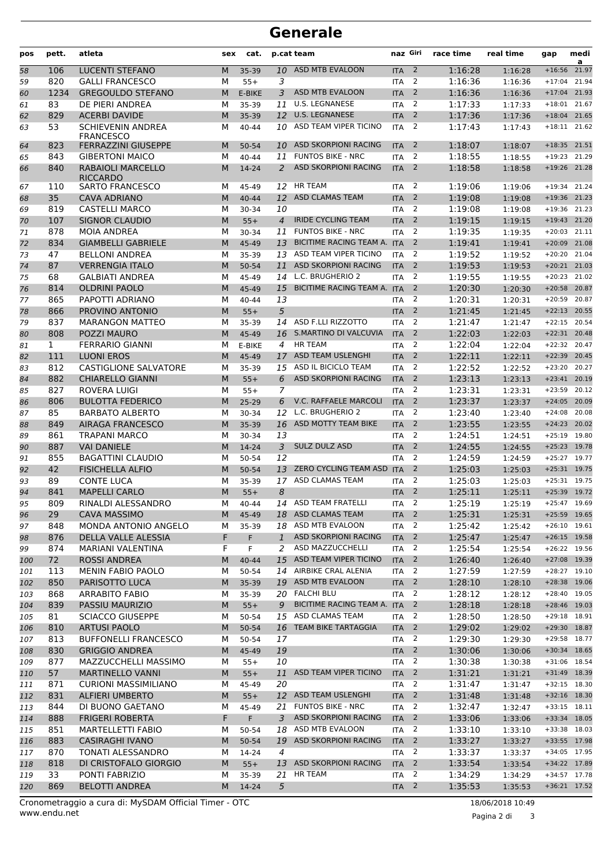## **Generale**

| pos | pett.        | atleta                                       | sex | cat.      |                | p.cat team                  | naz Giri         |                | race time | real time | gap            | medi<br>a |
|-----|--------------|----------------------------------------------|-----|-----------|----------------|-----------------------------|------------------|----------------|-----------|-----------|----------------|-----------|
| 58  | 106          | <b>LUCENTI STEFANO</b>                       | M   | 35-39     | 10             | ASD MTB EVALOON             | <b>ITA</b>       | $\overline{2}$ | 1:16:28   | 1:16:28   | $+16:56$       | 21.97     |
| 59  | 820          | <b>GALLI FRANCESCO</b>                       | М   | $55+$     | 3              |                             | <b>ITA</b>       | 2              | 1:16:36   | 1:16:36   | $+17:04$       | 21.94     |
| 60  | 1234         | <b>GREGOULDO STEFANO</b>                     | M   | E-BIKE    | 3              | ASD MTB EVALOON             | <b>ITA</b>       | 2              | 1:16:36   | 1:16:36   | $+17:04$       | 21.93     |
| 61  | 83           | DE PIERI ANDREA                              | м   | 35-39     | 11             | <b>U.S. LEGNANESE</b>       | <b>ITA</b>       | 2              | 1:17:33   | 1:17:33   | $+18:01$       | 21.67     |
| 62  | 829          | <b>ACERBI DAVIDE</b>                         | M   | 35-39     | 12             | <b>U.S. LEGNANESE</b>       | <b>ITA</b>       | 2              | 1:17:36   | 1:17:36   | $+18:04$       | 21.65     |
| 63  | 53           | <b>SCHIEVENIN ANDREA</b><br><b>FRANCESCO</b> | М   | 40-44     |                | 10 ASD TEAM VIPER TICINO    | <b>ITA</b>       | 2              | 1:17:43   | 1:17:43   | $+18:11$ 21.62 |           |
| 64  | 823          | <b>FERRAZZINI GIUSEPPE</b>                   | M   | 50-54     | 10             | ASD SKORPIONI RACING        | <b>ITA</b>       | $\overline{2}$ | 1:18:07   | 1:18:07   | $+18:35$       | 21.51     |
| 65  | 843          | <b>GIBERTONI MAICO</b>                       | М   | 40-44     | 11             | <b>FUNTOS BIKE - NRC</b>    | <b>ITA</b>       | 2              | 1:18:55   | 1:18:55   | $+19:23$       | 21.29     |
| 66  | 840          | RABAIOLI MARCELLO<br><b>RICCARDO</b>         | M   | 14-24     | $\overline{2}$ | ASD SKORPIONI RACING        | <b>ITA</b>       | $\overline{2}$ | 1:18:58   | 1:18:58   | $+19:26$       | 21.28     |
| 67  | 110          | <b>SARTO FRANCESCO</b>                       | м   | 45-49     | 12             | <b>HR TEAM</b>              | <b>ITA</b>       | 2              | 1:19:06   | 1:19:06   | +19:34 21.24   |           |
| 68  | 35           | <b>CAVA ADRIANO</b>                          | M   | $40 - 44$ | 12             | <b>ASD CLAMAS TEAM</b>      | <b>ITA</b>       | 2              | 1:19:08   | 1:19:08   | $+19:36$       | 21.23     |
| 69  | 819          | <b>CASTELLI MARCO</b>                        | М   | 30-34     | 10             |                             | <b>ITA</b>       | 2              | 1:19:08   | 1:19:08   | $+19:36$       | 21.23     |
| 70  | 107          | <b>SIGNOR CLAUDIO</b>                        | M   | $55+$     | $\overline{4}$ | <b>IRIDE CYCLING TEAM</b>   | <b>ITA</b>       | $\overline{2}$ | 1:19:15   | 1:19:15   | $+19:43$       | 21.20     |
| 71  | 878          | <b>MOIA ANDREA</b>                           | М   | 30-34     | 11             | <b>FUNTOS BIKE - NRC</b>    | <b>ITA</b>       | 2              | 1:19:35   | 1:19:35   | $+20:03$ 21.11 |           |
| 72  | 834          | <b>GIAMBELLI GABRIELE</b>                    | M   | 45-49     | 13             | BICITIME RACING TEAM A. ITA |                  | $\overline{2}$ | 1:19:41   | 1:19:41   | $+20:09$       | 21.08     |
| 73  | 47           | <b>BELLONI ANDREA</b>                        | м   | 35-39     | 13             | ASD TEAM VIPER TICINO       | <b>ITA</b>       | 2              | 1:19:52   | 1:19:52   | $+20:20$       | 21.04     |
| 74  | 87           | <b>VERRENGIA ITALO</b>                       | M   | 50-54     | 11             | <b>ASD SKORPIONI RACING</b> | <b>ITA</b>       | $\overline{2}$ | 1:19:53   | 1:19:53   | $+20:21$       | 21.03     |
| 75  | 68           | <b>GALBIATI ANDREA</b>                       | М   | 45-49     | 14             | L.C. BRUGHERIO 2            | <b>ITA</b>       | 2              | 1:19:55   | 1:19:55   | $+20:23$       | 21.02     |
| 76  | 814          | <b>OLDRINI PAOLO</b>                         | M   | 45-49     | 15             | BICITIME RACING TEAM A. ITA |                  | $\overline{2}$ | 1:20:30   | 1:20:30   | $+20:58$       | 20.87     |
| 77  | 865          | PAPOTTI ADRIANO                              | М   | $40 - 44$ | 13             |                             | <b>ITA</b>       | 2              | 1:20:31   | 1:20:31   | $+20:59$       | 20.87     |
| 78  | 866          | PROVINO ANTONIO                              | M   | $55+$     | 5              |                             | <b>ITA</b>       | 2              | 1:21:45   | 1:21:45   | $+22:13$       | 20.55     |
| 79  | 837          | <b>MARANGON MATTEO</b>                       | м   | 35-39     | 14             | ASD F.LLI RIZZOTTO          | <b>ITA</b>       | 2              | 1:21:47   | 1:21:47   | $+22:15$       | 20.54     |
| 80  | 808          | <b>POZZI MAURO</b>                           | M   | 45-49     |                | 16 S.MARTINO DI VALCUVIA    | <b>ITA</b>       | $\overline{2}$ | 1:22:03   | 1:22:03   | $+22:31$       | 20.48     |
| 81  | $\mathbf{1}$ | <b>FERRARIO GIANNI</b>                       | М   | E-BIKE    | $\overline{4}$ | <b>HR TEAM</b>              | <b>ITA</b>       | 2              | 1:22:04   | 1:22:04   | $+22:32$       | 20.47     |
| 82  | 111          | <b>LUONI EROS</b>                            | M   | 45-49     | 17             | ASD TEAM USLENGHI           | <b>ITA</b>       | $\overline{2}$ | 1:22:11   | 1:22:11   | $+22:39$       | 20.45     |
| 83  | 812          | <b>CASTIGLIONE SALVATORE</b>                 | М   | 35-39     | 15             | ASD IL BICICLO TEAM         | <b>ITA</b>       | 2              | 1:22:52   | 1:22:52   | $+23:20$       | 20.27     |
| 84  | 882          | <b>CHIARELLO GIANNI</b>                      | M   | $55+$     | 6              | ASD SKORPIONI RACING        | <b>ITA</b>       | $\overline{2}$ | 1:23:13   | 1:23:13   | $+23:41$       | 20.19     |
| 85  | 827          | <b>ROVERA LUIGI</b>                          | м   | $55+$     | 7              |                             | <b>ITA</b>       | 2              | 1:23:31   | 1:23:31   | $+23:59$       | 20.12     |
| 86  | 806          | <b>BULOTTA FEDERICO</b>                      | M   | $25-29$   | 6              | V.C. RAFFAELE MARCOLI       | <b>ITA</b>       | $\overline{2}$ | 1:23:37   | 1:23:37   | $+24:05$       | 20.09     |
| 87  | 85           | <b>BARBATO ALBERTO</b>                       | М   | 30-34     | 12             | L.C. BRUGHERIO 2            | <b>ITA</b>       | 2              | 1:23:40   | 1:23:40   | $+24:08$       | 20.08     |
| 88  | 849          | <b>AIRAGA FRANCESCO</b>                      | M   | 35-39     | 16             | ASD MOTTY TEAM BIKE         | <b>ITA</b>       | $\overline{2}$ | 1:23:55   | 1:23:55   | $+24:23$       | 20.02     |
| 89  | 861          | <b>TRAPANI MARCO</b>                         | М   | 30-34     | 13             |                             | <b>ITA</b>       | 2              | 1:24:51   | 1:24:51   | $+25:19$       | 19.80     |
| 90  | 887          | <b>VAI DANIELE</b>                           | M   | 14-24     | 3              | <b>SULZ DULZ ASD</b>        | <b>ITA</b>       | $\overline{2}$ | 1:24:55   | 1:24:55   | $+25:23$       | 19.78     |
| 91  | 855          | <b>BAGATTINI CLAUDIO</b>                     | М   | 50-54     | 12             |                             | <b>ITA</b>       | 2              | 1:24:59   | 1:24:59   | $+25:27$       | 19.77     |
| 92  | 42           | <b>FISICHELLA ALFIO</b>                      | M   | 50-54     | 13             | ZERO CYCLING TEAM ASD ITA   |                  | $\overline{2}$ | 1:25:03   | 1:25:03   | $+25:31$ 19.75 |           |
| 93  | 89           | <b>CONTE LUCA</b>                            | М   | 35-39     | 17             | ASD CLAMAS TEAM             | ITA              | 2              | 1:25:03   | 1:25:03   | $+25:31$ 19.75 |           |
| 94  | 841          | <b>MAPELLI CARLO</b>                         | M   | $55+$     | 8              |                             | <b>ITA</b>       | $\overline{2}$ | 1:25:11   | 1:25:11   | +25:39 19.72   |           |
| 95  | 809          | RINALDI ALESSANDRO                           | M   | 40-44     |                | 14 ASD TEAM FRATELLI        | <b>ITA</b>       | 2              | 1:25:19   | 1:25:19   | +25:47 19.69   |           |
| 96  | 29           | <b>CAVA MASSIMO</b>                          | M   | 45-49     |                | 18 ASD CLAMAS TEAM          | ITA <sub>2</sub> |                | 1:25:31   | 1:25:31   | +25:59 19.65   |           |
| 97  | 848          | MONDA ANTONIO ANGELO                         | М   | 35-39     |                | 18 ASD MTB EVALOON          | <b>ITA</b>       | 2              | 1:25:42   | 1:25:42   | $+26:10$ 19.61 |           |
| 98  | 876          | DELLA VALLE ALESSIA                          | F   | F.        | $\mathbf{1}$   | ASD SKORPIONI RACING        | <b>ITA</b>       | $\overline{2}$ | 1:25:47   | 1:25:47   | $+26:15$ 19.58 |           |
| 99  | 874          | MARIANI VALENTINA                            | F   | F         | 2              | ASD MAZZUCCHELLI            | ITA              | $\overline{2}$ | 1:25:54   | 1:25:54   | +26:22 19.56   |           |
| 100 | 72           | <b>ROSSI ANDREA</b>                          | M   | 40-44     |                | 15 ASD TEAM VIPER TICINO    | <b>ITA</b>       | $\overline{2}$ | 1:26:40   | 1:26:40   | +27:08 19.39   |           |
| 101 | 113          | <b>MENIN FABIO PAOLO</b>                     | М   | 50-54     |                | 14 AIRBIKE CRAL ALENIA      | <b>ITA</b>       | 2              | 1:27:59   | 1:27:59   | $+28:27$ 19.10 |           |
| 102 | 850          | PARISOTTO LUCA                               | M   | 35-39     |                | 19 ASD MTB EVALOON          | <b>ITA</b>       | $\overline{2}$ | 1:28:10   | 1:28:10   | +28:38 19.06   |           |
| 103 | 868          | <b>ARRABITO FABIO</b>                        | М   | 35-39     |                | 20 FALCHI BLU               | <b>ITA</b>       | 2              | 1:28:12   | 1:28:12   | +28:40 19.05   |           |
| 104 | 839          | PASSIU MAURIZIO                              | M   | $55+$     | 9              | BICITIME RACING TEAM A. ITA |                  | $\overline{2}$ | 1:28:18   | 1:28:18   | +28:46 19.03   |           |
| 105 | 81           | <b>SCIACCO GIUSEPPE</b>                      | м   | 50-54     |                | 15 ASD CLAMAS TEAM          | ITA              | $\overline{2}$ | 1:28:50   | 1:28:50   | +29:18 18.91   |           |
| 106 | 810          | <b>ARTUSI PAOLO</b>                          | M   | 50-54     |                | 16 TEAM BIKE TARTAGGIA      | <b>ITA</b>       | $\overline{2}$ | 1:29:02   | 1:29:02   | +29:30 18.87   |           |
| 107 | 813          | <b>BUFFONELLI FRANCESCO</b>                  | М   | 50-54     | 17             |                             | <b>ITA</b>       | 2              | 1:29:30   | 1:29:30   | +29:58 18.77   |           |
| 108 | 830          | <b>GRIGGIO ANDREA</b>                        | M   | 45-49     | 19             |                             | <b>ITA</b>       | $\overline{2}$ | 1:30:06   | 1:30:06   | +30:34 18.65   |           |
| 109 | 877          | MAZZUCCHELLI MASSIMO                         | М   | $55+$     | 10             |                             | <b>ITA</b>       | 2              | 1:30:38   | 1:30:38   | +31:06 18.54   |           |
| 110 | 57           | <b>MARTINELLO VANNI</b>                      | M   | $55+$     | 11             | ASD TEAM VIPER TICINO       | <b>ITA</b>       | $\overline{2}$ | 1:31:21   | 1:31:21   | +31:49 18.39   |           |
| 111 | 871          | <b>CURIONI MASSIMILIANO</b>                  | М   | 45-49     | 20             |                             | <b>ITA</b>       | $\overline{2}$ | 1:31:47   | 1:31:47   | +32:15 18.30   |           |
| 112 | 831          | <b>ALFIERI UMBERTO</b>                       | M   | $55+$     |                | 12 ASD TEAM USLENGHI        | <b>ITA</b>       | $\overline{2}$ | 1:31:48   | 1:31:48   | +32:16 18.30   |           |
| 113 | 844          | DI BUONO GAETANO                             | М   | 45-49     | 21             | <b>FUNTOS BIKE - NRC</b>    | <b>ITA</b>       | 2              | 1:32:47   | 1:32:47   | +33:15 18.11   |           |
| 114 | 888          | <b>FRIGERI ROBERTA</b>                       | F   | F         | 3              | <b>ASD SKORPIONI RACING</b> | <b>ITA</b>       | $\overline{2}$ | 1:33:06   | 1:33:06   | +33:34 18.05   |           |
| 115 | 851          | MARTELLETTI FABIO                            | М   | 50-54     |                | 18 ASD MTB EVALOON          | <b>ITA</b>       | 2              | 1:33:10   | 1:33:10   | +33:38 18.03   |           |
| 116 | 883          | <b>CASIRAGHI IVANO</b>                       | M   | 50-54     | 19             | ASD SKORPIONI RACING        | <b>ITA</b>       | $\overline{2}$ | 1:33:27   | 1:33:27   | +33:55 17.98   |           |
| 117 | 870          | <b>TONATI ALESSANDRO</b>                     | м   | 14-24     | 4              |                             | ITA              | $\overline{2}$ | 1:33:37   | 1:33:37   | +34:05 17.95   |           |
| 118 | 818          | DI CRISTOFALO GIORGIO                        | M   | $55+$     | 13             | <b>ASD SKORPIONI RACING</b> | <b>ITA</b>       | $\overline{2}$ | 1:33:54   | 1:33:54   | +34:22 17.89   |           |
| 119 | 33           | PONTI FABRIZIO                               | М   | 35-39     | 21             | <b>HR TEAM</b>              | <b>ITA</b>       | 2              | 1:34:29   | 1:34:29   | +34:57 17.78   |           |
| 120 | 869          | <b>BELOTTI ANDREA</b>                        | M   | 14-24     | 5              |                             | $ITA$ 2          |                | 1:35:53   | 1:35:53   | +36:21 17.52   |           |

Pagina 2 di 3